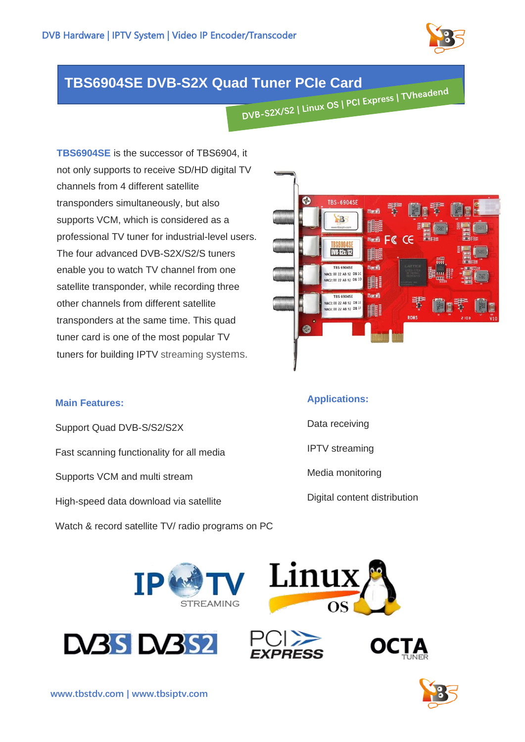

## **TBS6904SE DVB-S2X Quad Tuner PCIe Card**

**TBS6904SE** is the successor of TBS6904, it not only supports to receive SD/HD digital TV channels from 4 different satellite transponders simultaneously, but also supports VCM, which is considered as a professional TV tuner for industrial-level users. The four advanced DVB-S2X/S2/S tuners enable you to watch TV channel from one satellite transponder, while recording three other channels from different satellite transponders at the same time. This quad tuner card is one of the most popular TV tuners for building IPTV streaming systems.



Support Quad DVB-S/S2/S2X Fast scanning functionality for all media Supports VCM and multi stream High-speed data download via satellite Watch & record satellite TV/ radio programs on PC



## **Applications:**

- Data receiving
- IPTV streaming
- Media monitoring
- Digital content distribution









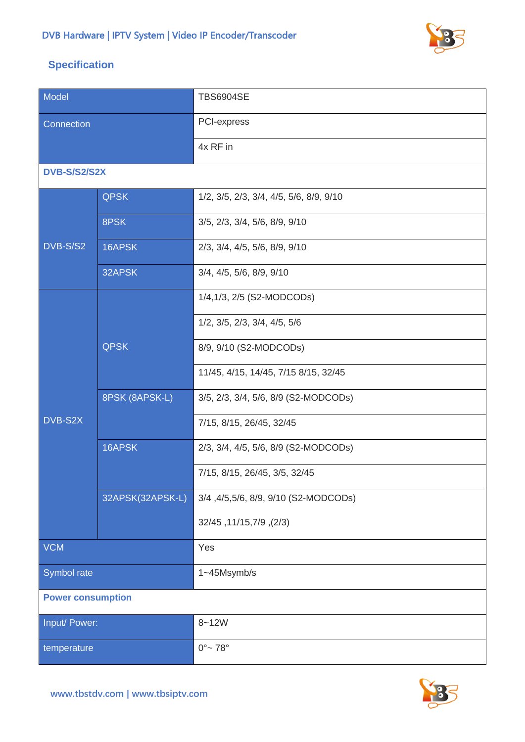

## **Specification**

| Model                    |                  | <b>TBS6904SE</b>                              |
|--------------------------|------------------|-----------------------------------------------|
| Connection               |                  | <b>PCI-express</b>                            |
|                          |                  | 4x RF in                                      |
| <b>DVB-S/S2/S2X</b>      |                  |                                               |
|                          | <b>QPSK</b>      | 1/2, 3/5, 2/3, 3/4, 4/5, 5/6, 8/9, 9/10       |
| DVB-S/S2                 | 8PSK             | 3/5, 2/3, 3/4, 5/6, 8/9, 9/10                 |
|                          | 16APSK           | 2/3, 3/4, 4/5, 5/6, 8/9, 9/10                 |
|                          | 32APSK           | 3/4, 4/5, 5/6, 8/9, 9/10                      |
|                          |                  | 1/4,1/3, 2/5 (S2-MODCODs)                     |
|                          |                  | $1/2$ , $3/5$ , $2/3$ , $3/4$ , $4/5$ , $5/6$ |
|                          | <b>QPSK</b>      | 8/9, 9/10 (S2-MODCODs)                        |
|                          |                  | 11/45, 4/15, 14/45, 7/15 8/15, 32/45          |
|                          | 8PSK (8APSK-L)   | 3/5, 2/3, 3/4, 5/6, 8/9 (S2-MODCODs)          |
| DVB-S2X                  |                  | 7/15, 8/15, 26/45, 32/45                      |
|                          | 16APSK           | 2/3, 3/4, 4/5, 5/6, 8/9 (S2-MODCODs)          |
|                          |                  | 7/15, 8/15, 26/45, 3/5, 32/45                 |
|                          | 32APSK(32APSK-L) | 3/4,4/5,5/6, 8/9, 9/10 (S2-MODCODs)           |
|                          |                  | 32/45, 11/15, 7/9, 32/45                      |
| <b>VCM</b>               |                  | Yes                                           |
| Symbol rate              |                  | 1~45Msymb/s                                   |
| <b>Power consumption</b> |                  |                                               |
| Input/ Power:            |                  | $8 - 12W$                                     |
| temperature              |                  | $0^{\circ}$ ~ 78 $^{\circ}$                   |